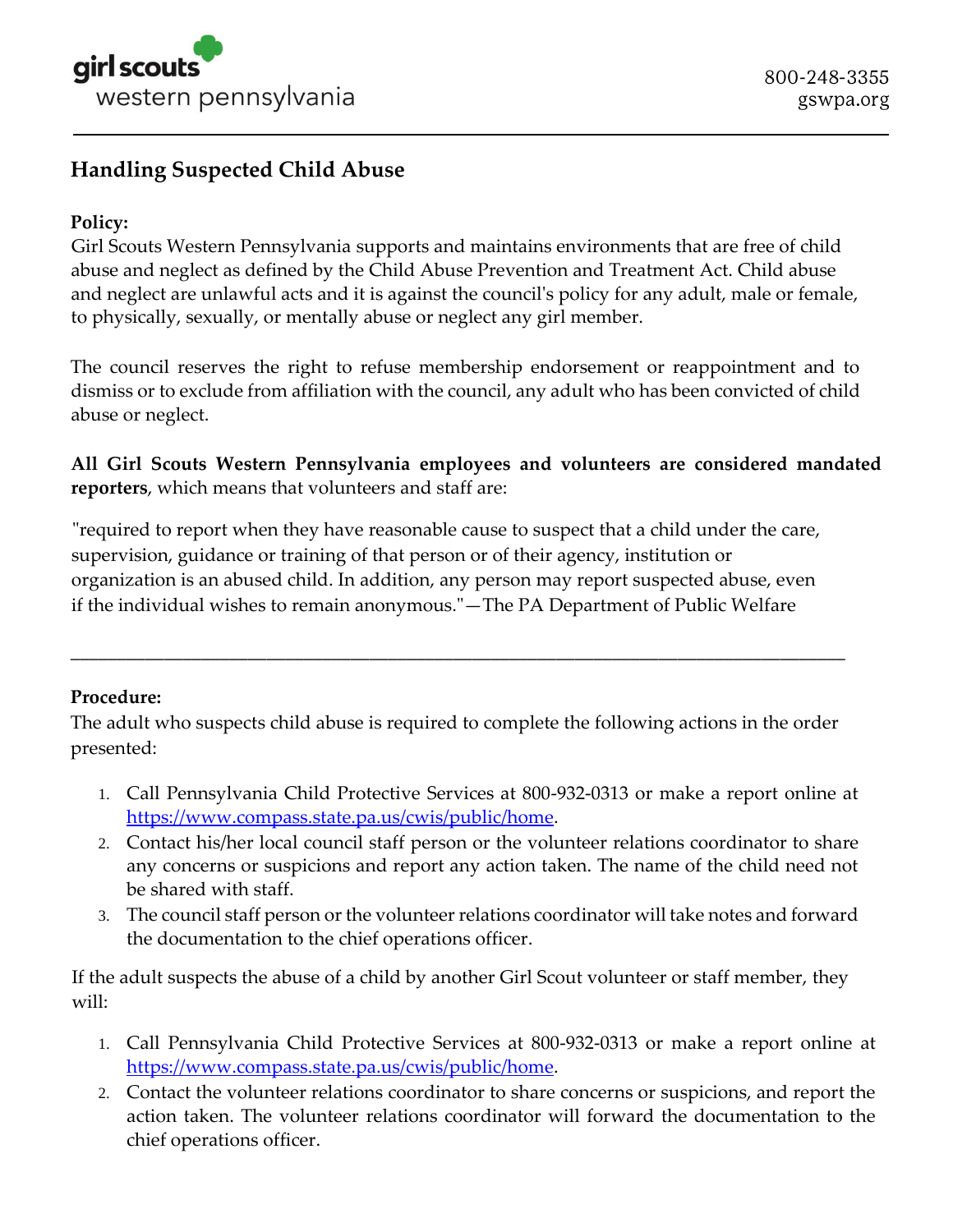

## **Handling Suspected Child Abuse**

## **Policy:**

Girl Scouts Western Pennsylvania supports and maintains environments that are free of child abuse and neglect as defined by the Child Abuse Prevention and Treatment Act. Child abuse and neglect are unlawful acts and it is against the council's policy for any adult, male or female, to physically, sexually, or mentally abuse or neglect any girl member.

The council reserves the right to refuse membership endorsement or reappointment and to dismiss or to exclude from affiliation with the council, any adult who has been convicted of child abuse or neglect.

**All Girl Scouts Western Pennsylvania employees and volunteers are considered mandated reporters**, which means that volunteers and staff are:

"required to report when they have reasonable cause to suspect that a child under the care, supervision, guidance or training of that person or of their agency, institution or organization is an abused child. In addition, any person may report suspected abuse, even if the individual wishes to remain anonymous."—The PA Department of Public Welfare

## **Procedure:**

The adult who suspects child abuse is required to complete the following actions in the order presented:

**\_\_\_\_\_\_\_\_\_\_\_\_\_\_\_\_\_\_\_\_\_\_\_\_\_\_\_\_\_\_\_\_\_\_\_\_\_\_\_\_\_\_\_\_\_\_\_\_\_\_\_\_\_\_\_\_\_\_\_\_\_\_\_\_\_\_\_\_\_\_\_\_\_\_\_\_\_\_\_\_\_\_\_**

- 1. Call Pennsylvania Child Protective Services at 800-932-0313 or make a report online at [https://www.compass.state.pa.us/cwis/public/home.](https://www.compass.state.pa.us/cwis/public/home)
- 2. Contact his/her local council staff person or the volunteer relations coordinator to share any concerns or suspicions and report any action taken. The name of the child need not be shared with staff.
- 3. The council staff person or the volunteer relations coordinator will take notes and forward the documentation to the chief operations officer.

If the adult suspects the abuse of a child by another Girl Scout volunteer or staff member, they will:

- 1. Call Pennsylvania Child Protective Services at 800-932-0313 or make a report online at [https://www.compass.state.pa.us/cwis/public/home.](https://www.compass.state.pa.us/cwis/public/home)
- 2. Contact the volunteer relations coordinator to share concerns or suspicions, and report the action taken. The volunteer relations coordinator will forward the documentation to the chief operations officer.